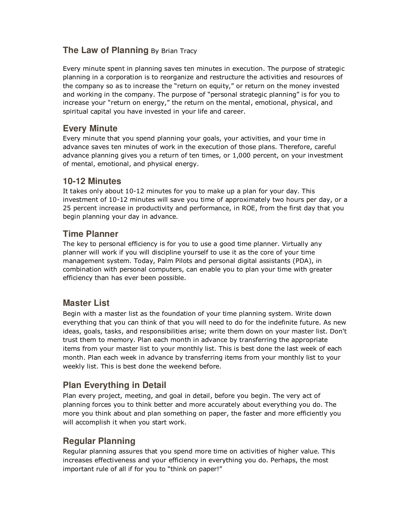## **The Law of Planning** By Brian Tracy

Every minute spent in planning saves ten minutes in execution. The purpose of strategic planning in a corporation is to reorganize and restructure the activities and resources of the company so as to increase the "return on equity," or return on the money invested and working in the company. The purpose of "personal strategic planning" is for you to increase your "return on energy," the return on the mental, emotional, physical, and spiritual capital you have invested in your life and career.

## **Every Minute**

Every minute that you spend planning your goals, your activities, and your time in advance saves ten minutes of work in the execution of those plans. Therefore, careful advance planning gives you a return of ten times, or 1,000 percent, on your investment of mental, emotional, and physical energy.

#### **10-12 Minutes**

It takes only about 10-12 minutes for you to make up a plan for your day. This investment of 10-12 minutes will save you time of approximately two hours per day, or a 25 percent increase in productivity and performance, in ROE, from the first day that you begin planning your day in advance.

## **Time Planner**

The key to personal efficiency is for you to use a good time planner. Virtually any planner will work if you will discipline yourself to use it as the core of your time management system. Today, Palm Pilots and personal digital assistants (PDA), in combination with personal computers, can enable you to plan your time with greater efficiency than has ever been possible.

# **Master List**

Begin with a master list as the foundation of your time planning system. Write down everything that you can think of that you will need to do for the indefinite future. As new ideas, goals, tasks, and responsibilities arise; write them down on your master list. Don't trust them to memory. Plan each month in advance by transferring the appropriate items from your master list to your monthly list. This is best done the last week of each month. Plan each week in advance by transferring items from your monthly list to your weekly list. This is best done the weekend before.

# **Plan Everything in Detail**

Plan every project, meeting, and goal in detail, before you begin. The very act of planning forces you to think better and more accurately about everything you do. The more you think about and plan something on paper, the faster and more efficiently you will accomplish it when you start work.

#### **Regular Planning**

Regular planning assures that you spend more time on activities of higher value. This increases effectiveness and your efficiency in everything you do. Perhaps, the most important rule of all if for you to "think on paper!"